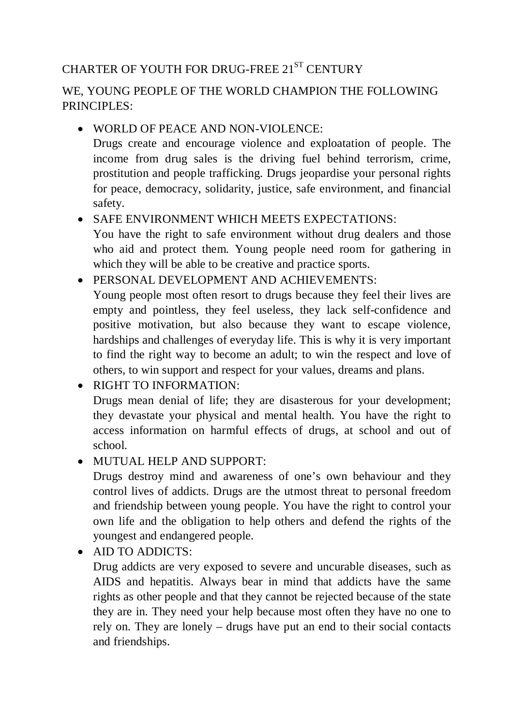# CHARTER OF YOUTH FOR DRUG-FREE  $21^\mathrm{ST}$  CENTURY

### WE, YOUNG PEOPLE OF THE WORLD CHAMPION THE FOLLOWING PRINCIPLES:

#### WORLD OF PEACE AND NON-VIOLENCE:

Drugs create and encourage violence and exploatation of people. The income from drug sales is the driving fuel behind terrorism, crime, prostitution and people trafficking. Drugs jeopardise your personal rights for peace, democracy, solidarity, justice, safe environment, and financial safety.

## • SAFE ENVIRONMENT WHICH MEETS EXPECTATIONS:

You have the right to safe environment without drug dealers and those who aid and protect them. Young people need room for gathering in which they will be able to be creative and practice sports.

#### PERSONAL DEVELOPMENT AND ACHIEVEMENTS:

Young people most often resort to drugs because they feel their lives are empty and pointless, they feel useless, they lack self-confidence and positive motivation, but also because they want to escape violence, hardships and challenges of everyday life. This is why it is very important to find the right way to become an adult; to win the respect and love of others, to win support and respect for your values, dreams and plans.

 RIGHT TO INFORMATION: Drugs mean denial of life; they are disasterous for your development; they devastate your physical and mental health. You have the right to access information on harmful effects of drugs, at school and out of school.

#### MUTUAL HELP AND SUPPORT:

Drugs destroy mind and awareness of one's own behaviour and they control lives of addicts. Drugs are the utmost threat to personal freedom and friendship between young people. You have the right to control your own life and the obligation to help others and defend the rights of the youngest and endangered people.

• AID TO ADDICTS:

Drug addicts are very exposed to severe and uncurable diseases, such as AIDS and hepatitis. Always bear in mind that addicts have the same rights as other people and that they cannot be rejected because of the state they are in. They need your help because most often they have no one to rely on. They are lonely – drugs have put an end to their social contacts and friendships.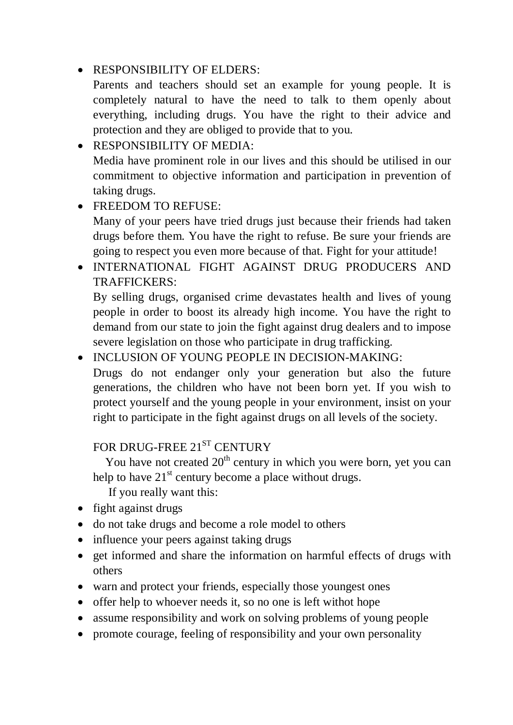#### • RESPONSIBILITY OF ELDERS:

Parents and teachers should set an example for young people. It is completely natural to have the need to talk to them openly about everything, including drugs. You have the right to their advice and protection and they are obliged to provide that to you.

 RESPONSIBILITY OF MEDIA: Media have prominent role in our lives and this should be utilised in our commitment to objective information and participation in prevention of taking drugs.

### • FREEDOM TO REFUSE:

Many of your peers have tried drugs just because their friends had taken drugs before them. You have the right to refuse. Be sure your friends are going to respect you even more because of that. Fight for your attitude!

 INTERNATIONAL FIGHT AGAINST DRUG PRODUCERS AND TRAFFICKERS:

By selling drugs, organised crime devastates health and lives of young people in order to boost its already high income. You have the right to demand from our state to join the fight against drug dealers and to impose severe legislation on those who participate in drug trafficking.

- INCLUSION OF YOUNG PEOPLE IN DECISION-MAKING:
	- Drugs do not endanger only your generation but also the future generations, the children who have not been born yet. If you wish to protect yourself and the young people in your environment, insist on your right to participate in the fight against drugs on all levels of the society.

## FOR DRUG-FREE  $21^\mathrm{ST}$  CENTURY

You have not created 20<sup>th</sup> century in which you were born, yet you can help to have  $21<sup>st</sup>$  century become a place without drugs.

If you really want this:

- fight against drugs
- do not take drugs and become a role model to others
- influence your peers against taking drugs
- get informed and share the information on harmful effects of drugs with others
- warn and protect your friends, especially those youngest ones
- offer help to whoever needs it, so no one is left withot hope
- assume responsibility and work on solving problems of young people
- promote courage, feeling of responsibility and your own personality